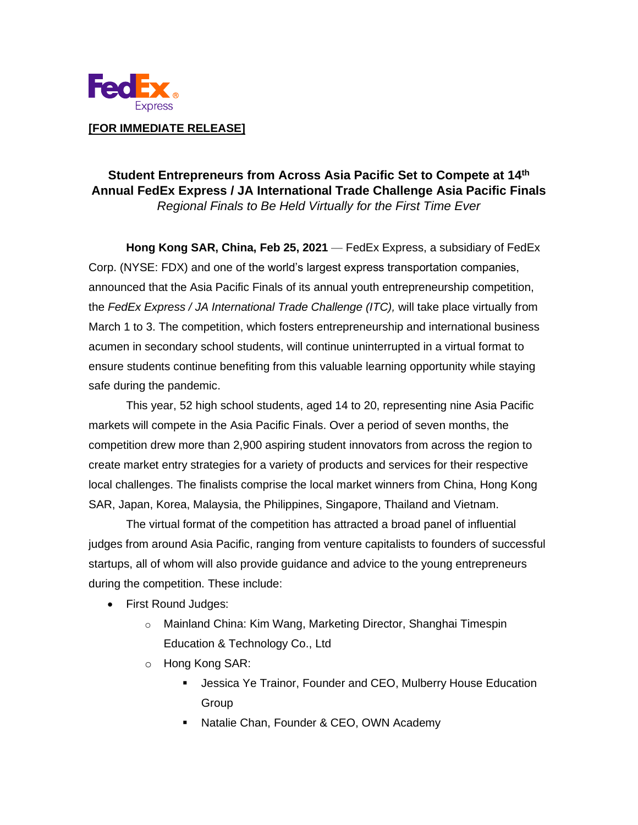

# **Student Entrepreneurs from Across Asia Pacific Set to Compete at 14th Annual FedEx Express / JA International Trade Challenge Asia Pacific Finals** *Regional Finals to Be Held Virtually for the First Time Ever*

**Hong Kong SAR, China, Feb 25, 2021** — FedEx Express, a subsidiary of FedEx Corp. (NYSE: FDX) and one of the world's largest express transportation companies, announced that the Asia Pacific Finals of its annual youth entrepreneurship competition, the *FedEx Express / JA International Trade Challenge (ITC),* will take place virtually from March 1 to 3. The competition, which fosters entrepreneurship and international business acumen in secondary school students, will continue uninterrupted in a virtual format to ensure students continue benefiting from this valuable learning opportunity while staying safe during the pandemic.

This year, 52 high school students, aged 14 to 20, representing nine Asia Pacific markets will compete in the Asia Pacific Finals. Over a period of seven months, the competition drew more than 2,900 aspiring student innovators from across the region to create market entry strategies for a variety of products and services for their respective local challenges. The finalists comprise the local market winners from China, Hong Kong SAR, Japan, Korea, Malaysia, the Philippines, Singapore, Thailand and Vietnam.

The virtual format of the competition has attracted a broad panel of influential judges from around Asia Pacific, ranging from venture capitalists to founders of successful startups, all of whom will also provide guidance and advice to the young entrepreneurs during the competition. These include:

- First Round Judges:
	- o Mainland China: Kim Wang, Marketing Director, Shanghai Timespin Education & Technology Co., Ltd
	- o Hong Kong SAR:
		- **E** Jessica Ye Trainor, Founder and CEO, Mulberry House Education Group
		- Natalie Chan, Founder & CEO, OWN Academy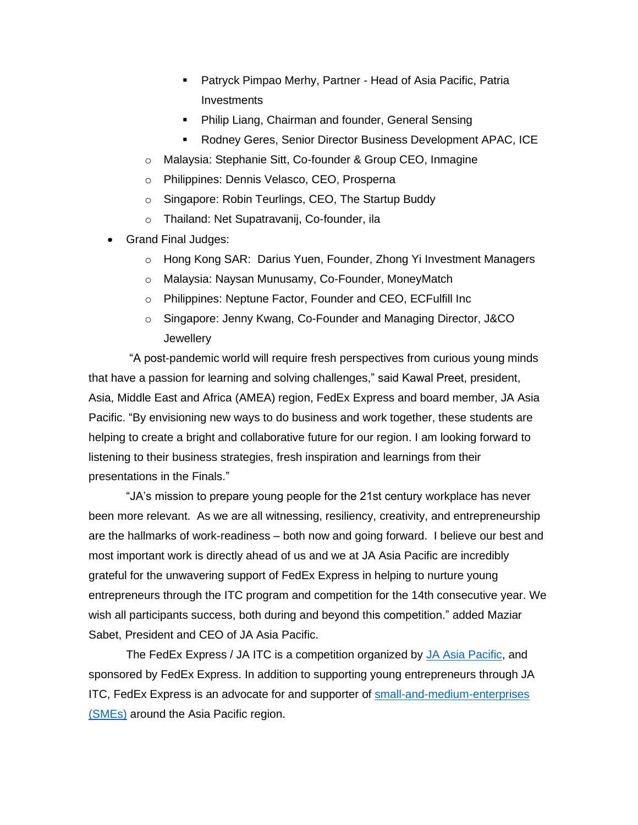- **E** Patryck Pimpao Merhy, Partner Head of Asia Pacific, Patria Investments
- **Philip Liang, Chairman and founder, General Sensing**
- Rodney Geres, Senior Director Business Development APAC, ICE
- o Malaysia: Stephanie Sitt, Co-founder & Group CEO, Inmagine
- o Philippines: Dennis Velasco, CEO, Prosperna
- o Singapore: Robin Teurlings, CEO, The Startup Buddy
- o Thailand: Net Supatravanij, Co-founder, ila
- Grand Final Judges:
	- o Hong Kong SAR: Darius Yuen, Founder, Zhong Yi Investment Managers
	- o Malaysia: Naysan Munusamy, Co-Founder, MoneyMatch
	- o Philippines: Neptune Factor, Founder and CEO, ECFulfill Inc
	- o Singapore: Jenny Kwang, Co-Founder and Managing Director, J&CO **Jewellery**

"A post-pandemic world will require fresh perspectives from curious young minds that have a passion for learning and solving challenges," said Kawal Preet, president, Asia, Middle East and Africa (AMEA) region, FedEx Express and board member, JA Asia Pacific. "By envisioning new ways to do business and work together, these students are helping to create a bright and collaborative future for our region. I am looking forward to listening to their business strategies, fresh inspiration and learnings from their presentations in the Finals."

"JA's mission to prepare young people for the 21st century workplace has never been more relevant. As we are all witnessing, resiliency, creativity, and entrepreneurship are the hallmarks of work-readiness – both now and going forward. I believe our best and most important work is directly ahead of us and we at JA Asia Pacific are incredibly grateful for the unwavering support of FedEx Express in helping to nurture young entrepreneurs through the ITC program and competition for the 14th consecutive year. We wish all participants success, both during and beyond this competition." added Maziar Sabet, President and CEO of JA Asia Pacific.

The FedEx Express / JA ITC is a competition organized by [JA Asia Pacific,](https://www.jaasiapacific.org/) and sponsored by FedEx Express. In addition to supporting young entrepreneurs through JA ITC, FedEx Express is an advocate for and supporter of [small-and-medium-enterprises](https://fedexbusinessinsights.com/)  [\(SMEs\)](https://fedexbusinessinsights.com/) around the Asia Pacific region.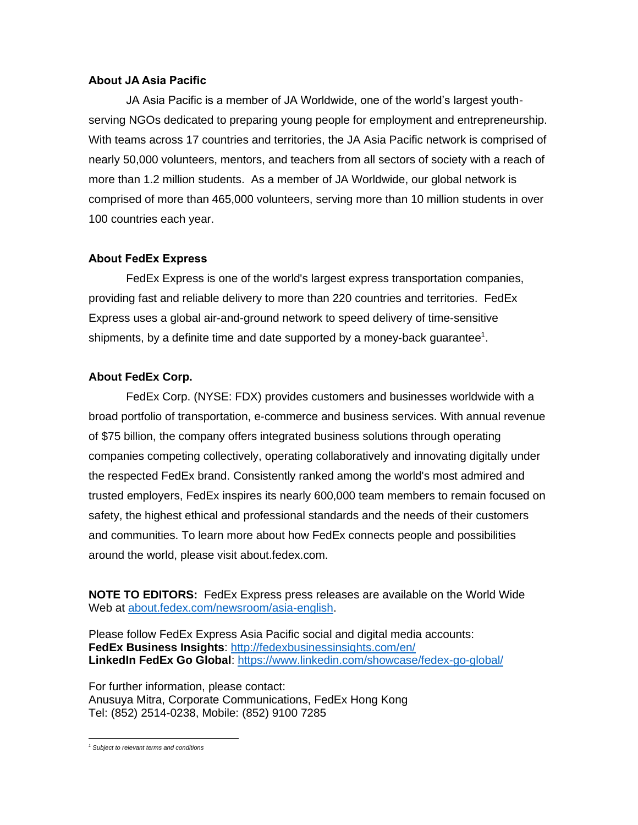#### **About JA Asia Pacific**

JA Asia Pacific is a member of JA Worldwide, one of the world's largest youthserving NGOs dedicated to preparing young people for employment and entrepreneurship. With teams across 17 countries and territories, the JA Asia Pacific network is comprised of nearly 50,000 volunteers, mentors, and teachers from all sectors of society with a reach of more than 1.2 million students. As a member of JA Worldwide, our global network is comprised of more than 465,000 volunteers, serving more than 10 million students in over 100 countries each year.

## **About FedEx Express**

FedEx Express is one of the world's largest express transportation companies, providing fast and reliable delivery to more than 220 countries and territories. FedEx Express uses a global air-and-ground network to speed delivery of time-sensitive shipments, by a definite time and date supported by a money-back guarantee<sup>1</sup>.

## **About FedEx Corp.**

FedEx Corp. (NYSE: FDX) provides customers and businesses worldwide with a broad portfolio of transportation, e-commerce and business services. With annual revenue of \$75 billion, the company offers integrated business solutions through operating companies competing collectively, operating collaboratively and innovating digitally under the respected FedEx brand. Consistently ranked among the world's most admired and trusted employers, FedEx inspires its nearly 600,000 team members to remain focused on safety, the highest ethical and professional standards and the needs of their customers and communities. To learn more about how FedEx connects people and possibilities around the world, please visit about.fedex.com.

**NOTE TO EDITORS:** FedEx Express press releases are available on the World Wide Web at [about.fedex.com/newsroom/asia-english.](http://about.fedex.com/newsroom/asia-english)

Please follow FedEx Express Asia Pacific social and digital media accounts: **FedEx Business Insights**:<http://fedexbusinessinsights.com/en/> **LinkedIn FedEx Go Global**:<https://www.linkedin.com/showcase/fedex-go-global/>

For further information, please contact: Anusuya Mitra, Corporate Communications, FedEx Hong Kong Tel: (852) 2514-0238, Mobile: (852) 9100 7285

*<sup>1</sup> Subject to relevant terms and conditions*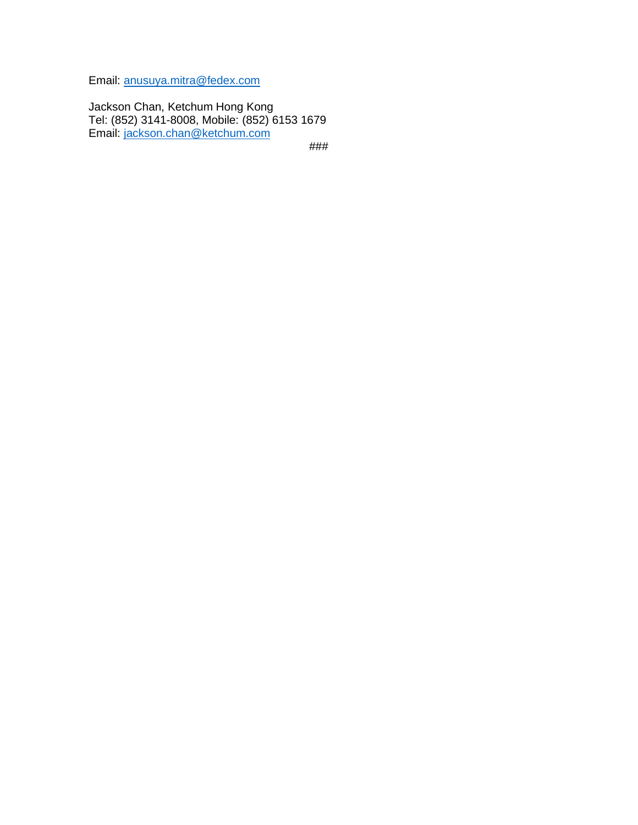Email: [anusuya.mitra@fedex.com](mailto:Anusuya.mitra@fedex.com) 

Jackson Chan, Ketchum Hong Kong Tel: (852) 3141-8008, Mobile: (852) 6153 1679 Email: [jackson.chan@ketchum.com](mailto:jackson.chan@ketchum.com)

###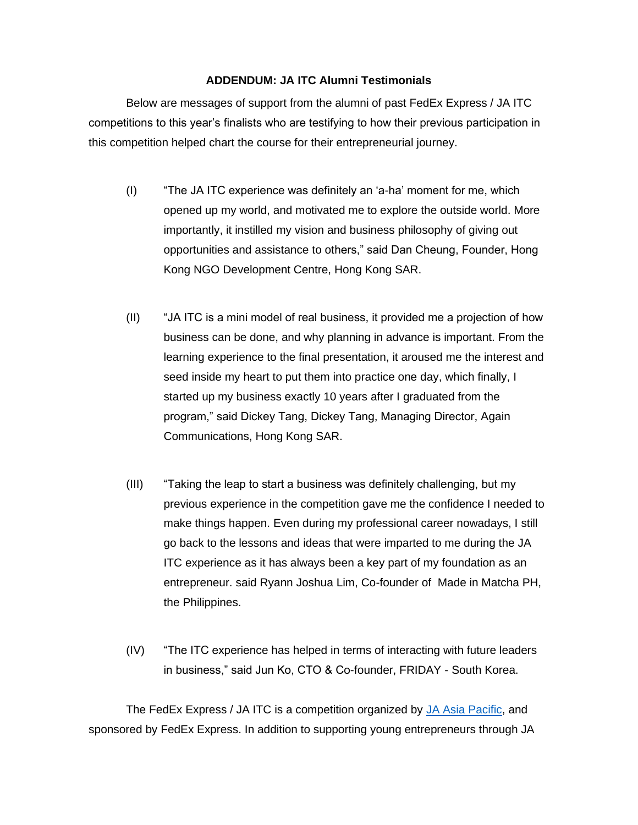#### **ADDENDUM: JA ITC Alumni Testimonials**

Below are messages of support from the alumni of past FedEx Express / JA ITC competitions to this year's finalists who are testifying to how their previous participation in this competition helped chart the course for their entrepreneurial journey.

- (I) "The JA ITC experience was definitely an 'a-ha' moment for me, which opened up my world, and motivated me to explore the outside world. More importantly, it instilled my vision and business philosophy of giving out opportunities and assistance to others," said Dan Cheung, Founder, Hong Kong NGO Development Centre, Hong Kong SAR.
- (II) "JA ITC is a mini model of real business, it provided me a projection of how business can be done, and why planning in advance is important. From the learning experience to the final presentation, it aroused me the interest and seed inside my heart to put them into practice one day, which finally, I started up my business exactly 10 years after I graduated from the program," said Dickey Tang, Dickey Tang, Managing Director, Again Communications, Hong Kong SAR.
- (III) "Taking the leap to start a business was definitely challenging, but my previous experience in the competition gave me the confidence I needed to make things happen. Even during my professional career nowadays, I still go back to the lessons and ideas that were imparted to me during the JA ITC experience as it has always been a key part of my foundation as an entrepreneur. said Ryann Joshua Lim, Co-founder of Made in Matcha PH, the Philippines.
- (IV) "The ITC experience has helped in terms of interacting with future leaders in business," said Jun Ko, CTO & Co-founder, FRIDAY - South Korea.

The FedEx Express / JA ITC is a competition organized by [JA Asia Pacific,](https://www.jaasiapacific.org/) and sponsored by FedEx Express. In addition to supporting young entrepreneurs through JA